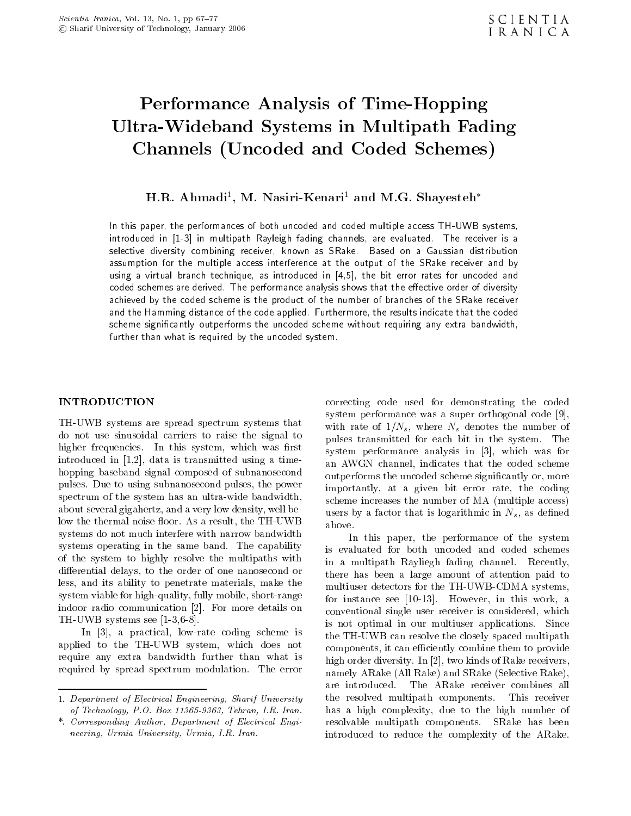# Performance Analysis of Time-Hopping Ultra-Wideband Systems in Multipath Fading Channels (Uncoded and Coded Schemes)

# H.R. Ahmadi , M. Iyasiri-Kenari and M.G. Shayesten

In this paper, the performances of both uncoded and coded multiple access TH-UWB systems, introduced in [1-3] in multipath Rayleigh fading channels, are evaluated. The receiver is <sup>a</sup> selective diversity combining receiver, known as SRake. Based on <sup>a</sup> Gaussian distribution assumption for the multiple access interference at the output of the SRake receiver and by using <sup>a</sup> virtual branch technique, as introduced in [4,5], the bit error rates for uncoded and coded schemes are derived. The performance analysis shows that the eective order of diversity achieved by the coded scheme is the product of the number of branches of the SRake receiver and the Hamming distance of the code applied. Furthermore, the results indicate that the coded scheme signicantly outperforms the uncoded scheme without requiring any extra bandwidth, further than what is required by the uncoded system.

# INTRODUCTION

TH-UWB systems are spread spectrum systems that do not use sinusoidal carriers to raise the signal to higher frequencies. In this system, which was first introduced in [1,2], data is transmitted using <sup>a</sup> timehopping baseband signal composed of subnanosecond pulses. Due to using subnanosecond pulses, the power spectrum of the system has an ultra-wide bandwidth, about several gigahertz, and a very low density, well below the thermal noise floor. As a result, the TH-UWB  $_{\text{above}}$ . systems do not much interfere with narrow bandwidth systems operating in the same band. The capability of the system to highly resolve the multipaths with differential delays, to the order of one nanosecond or less, and its ability to penetrate materials, make the system viable for high-quality, fully mobile, short-range indoor radio communication [2]. For more details on TH-UWB systems see [1-3,6-8].

In [3], <sup>a</sup> practical, low-rate coding scheme is applied to the TH-UWB system, which does not require any extra bandwidth further than what is required by spread spectrum modulation. The error

correcting code used for demonstrating the coded system performance was <sup>a</sup> super orthogonal code [9], with rate of  $1/N_s$ , where  $N_s$  denotes the number of pulses transmitted for each bit in the system. The system performance analysis in  $[3]$ , which was for an AWGN channel, indicates that the coded scheme outperforms the uncoded scheme signicantly or, more importantly, at <sup>a</sup> given bit error rate, the coding scheme increases the number of MA (multiple access) users by a factor that is logarithmic in  $N_s$ , as defined

In this paper, the performance of the system is evaluated for both uncoded and coded schemes in <sup>a</sup> multipath Rayliegh fading channel. Recently, there has been <sup>a</sup> large amount of attention paid to multiuser detectors for the TH-UWB-CDMA systems, for instance see [10-13]. However, in this work, <sup>a</sup> conventional single user receiver is considered, which is not optimal in our multiuser applications. Since the TH-UWB can resolve the closely spaced multipath components, it can efficiently combine them to provide high order diversity. In [2], two kinds of Rake receivers, namely ARake (All Rake) and SRake (Selective Rake), are introduced. The ARake receiver combines all the resolved multipath components. This receiver has <sup>a</sup> high complexity, due to the high number of resolvable multipath components. SRake has been introduced to reduce the complexity of the ARake.

<sup>1.</sup> Department of Electrical Engineering, Sharif University of Technology, P.O. Box 11365-9363, Tehran, I.R. Iran.

<sup>\*.</sup> Corresponding Author, Department of Electrical Engineering, Urmia University, Urmia, I.R. Iran.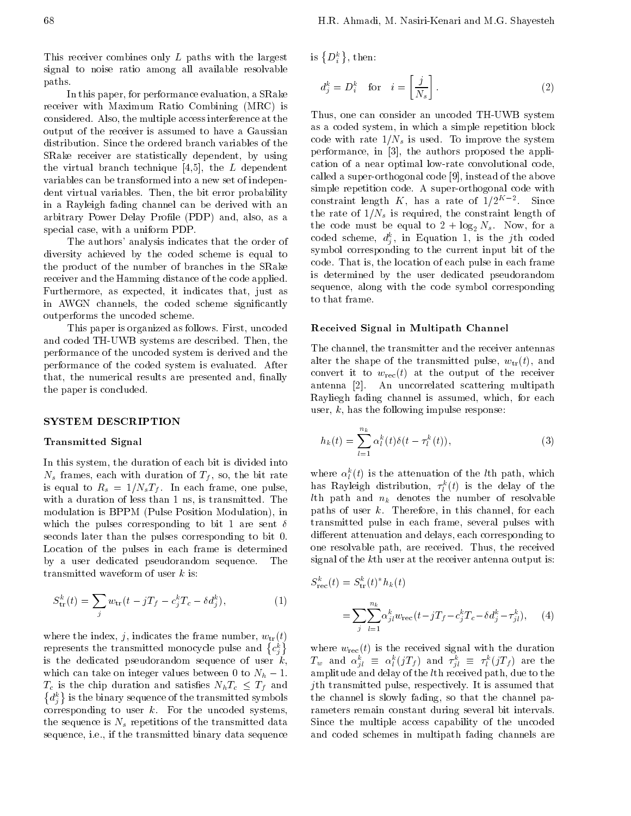This receiver combines only <sup>L</sup> paths with the largest signal to noise ratio among all available resolvable paths.

In this paper, for performance evaluation, a SRake receiver with Maximum Ratio Combining (MRC) is considered. Also, the multiple access interference at the output of the receiver is assumed to have <sup>a</sup> Gaussian distribution. Since the ordered branch variables of the SRake receiver are statistically dependent, by using the virtual branch technique  $[4,5]$ , the L dependent variables can be transformed into a new set of independent virtual variables. Then, the bit error probability in <sup>a</sup> Rayleigh fading channel can be derived with an arbitrary Power Delay Profile (PDP) and, also, as a special case, with a uniform PDP.

The authors' analysis indicates that the order of diversity achieved by the coded scheme is equal to the product of the number of branches in the SRake receiver and the Hamming distance of the code applied. Furthermore, as expected, it indicates that, just as in AWGN channels, the coded scheme significantly outperforms the uncoded scheme.

This paper is organized as follows. First, uncoded and coded TH-UWB systems are described. Then, the performance of the uncoded system is derived and the performance of the coded system is evaluated. After that, the numerical results are presented and, finally the paper is concluded.

#### SYSTEM DESCRIPTION

# Transmitted Signal

In this system, the duration of each bit is divided into  $N_s$  frames, each with duration of  $T_f$ , so, the bit rate is equal to  $R_s = 1/N_sT_f$ . In each frame, one pulse, with a duration of less than 1 ns, is transmitted. The modulation is BPPM (Pulse Position Modulation), in which the pulses corresponding to bit 1 are sent  $\delta$ seconds later than the pulses corresponding to bit 0. Location of the pulses in each frame is determined by <sup>a</sup> user dedicated pseudorandom sequence. The transmitted waveform of user  $k$  is:

$$
S_{\text{tr}}^k(t) = \sum_j w_{\text{tr}}(t - jT_f - c_j^k T_c - \delta d_j^k), \qquad (1)
$$

where the index, j, indicates the frame number,  $w_{tr}(t)$ represents the transmitted monocycle pulse and  $\{c_i^k\}$  w is the dedicated pseudorandom sequence of user  $k$ , which can take on integer values between 0 to  $N_h$  1.  $T_c$  is the chip duration and satisfies  $N_h T_c \leq T_f$  and  $\{d_i^k\}$  is the binary sequence of the transmitted symbols the corresponding to user  $k$ . For the uncoded systems, the sequence is  $N_s$  repetitions of the transmitted data sequence, i.e., if the transmitted binary data sequence

is  $\{D_i^k\},\,$  then:

$$
d_j^k = D_i^k \quad \text{for} \quad i = \left[\frac{j}{N_s}\right]. \tag{2}
$$

Thus, one can consider an uncoded TH-UWB system as a coded system, in which a simple repetition block code with rate  $1/N_s$  is used. To improve the system performance, in [3], the authors proposed the application of <sup>a</sup> near optimal low-rate convolutional code, called a super-orthogonal code [9], instead of the above simple repetition code. A super-orthogonal code with constraint length  $K$ , has a rate of  $1/2$   $\overline{\phantom{2}}$  . Since the rate of  $1/N_s$  is required, the constraint length of the code must be equal to  $2 + \log_2 N_s$ . Now, for a coded scheme,  $a_{\tilde{j}}$ , in Equation 1, is the jun coded symbol corresponding to the current input bit of the code. That is, the location of each pulse in each frame is determined by the user dedicated pseudorandom sequence, along with the code symbol corresponding to that frame.

### Received Signal in Multipath Channel

The channel, the transmitter and the receiver antennas alter the shape of the transmitted pulse,  $w_{tr}(t)$ , and convert it to  $w_{\text{rec}}(t)$  at the output of the receiver antenna [2]. An uncorrelated scattering multipath Rayliegh fading channel is assumed, which, for each user,  $k$ , has the following impulse response:

$$
h_k(t) = \sum_{l=1}^{n_k} \alpha_l^k(t) \delta(t - \tau_l^k(t)), \qquad (3)
$$

where  $\alpha_l$  (*t*) is the attenuation of the *t*th path, which has Kayleigh distribution,  $\tau_l^*(t)$  is the delay of the *lth* path and  $n_k$  denotes the number of resolvable paths of user  $k$ . Therefore, in this channel, for each transmitted pulse in each frame, several pulses with different attenuation and delays, each corresponding to one resolvable path, are received. Thus, the received signal of the kth user at the receiver antenna output is:

$$
S_{\text{rec}}^{k}(t) = S_{\text{tr}}^{k}(t)^{*}h_{k}(t)
$$
  
= 
$$
\sum_{j} \sum_{l=1}^{n_{k}} \alpha_{jl}^{k} w_{\text{rec}}(t) jT_{f} c_{j}^{k}T_{c} \delta d_{j}^{k} \tau_{jl}^{k}), \quad (4)
$$

 $\binom{k}{i}$  where  $w_{\text{rec}}(t)$  is the received signal with the duration  $I_w$  and  $\alpha_{jl} = \alpha_l (jI_f)$  and  $\tau_{jl} = \tau_l (jI_f)$  are the  $\frac{2}{u}$  and  $\frac{2}{u}$  ( $\frac{2}{v}$ ) and  $\frac{2}{v}$  ( $\frac{2}{v}$ ) and  $\frac{2}{v}$  ( $\frac{2}{v}$ ) and  $\frac{2}{v}$  ( $\frac{2}{v}$ ) and  $\frac{2}{v}$  ( $\frac{2}{v}$ ) and  $\frac{2}{v}$  ( $\frac{2}{v}$ ) and  $\frac{2}{v}$  ( $\frac{2}{v}$ ) and  $\frac{2}{v}$  ( $\frac{2}{v}$ ) and jth transmitted pulse, respectively. It is assumed that the channel is slowly fading, so that the channel parameters remain constant during several bit intervals. Since the multiple access capability of the uncoded and coded schemes in multipath fading channels are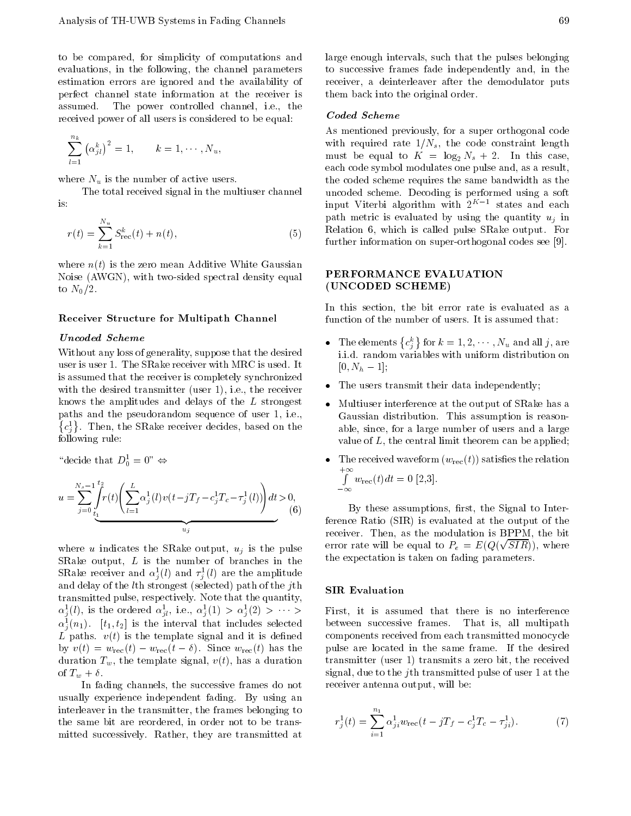to be compared, for simplicity of computations and evaluations, in the following, the channel parameters estimation errors are ignored and the availability of perfect channel state information at the receiver is assumed. The power controlled channel, i.e., the received power of all users is considered to be equal:

$$
\sum_{l=1}^{n_k} \alpha_{jl}^k \big)^2 = 1, \qquad k = 1, \cdots, N_u,
$$

where  $N_u$  is the number of active users.

The total received signal in the multiuser channel is:

$$
r(t) = \sum_{k=1}^{N_u} S_{\text{rec}}^k(t) + n(t),
$$

where  $n(t)$  is the zero mean Additive White Gaussian Noise (AWGN), with two-sided spectral density equal to  $N_0/2$ .

## Receiver Structure for Multipath Channel

# Uncoded Scheme

Without any loss of generality, suppose that the desired user is user 1. The SRake receiver with MRC is used. It is assumed that the receiver is completely synchronized with the desired transmitter (user 1), i.e., the receiver knows the amplitudes and delays of the  $L$  strongest  $\bullet$  Multiuser interference at the output of SRake has a paths and the pseudorandom sequence of user 1, i.e.,  $c_i^1$ . Then, the SRake receiver decides, based on the  $\varepsilon$ following rule:

decide that  $D_0 = 0 \Leftrightarrow$ 

$$
u = \sum_{j=0}^{N_s} \int_{t_1}^{t_2} r(t) \left( \sum_{l=1}^{L} \alpha_j^1(l) v(t) \right) T_f \quad c_j^1 T_c \quad \tau_j^1(l) \right) dt > 0,
$$
\n
$$
u_j \qquad (6)
$$

where u indicates the SRake output,  $u_j$  is the pulse SRake output,  $L$  is the number of branches in the SNake receiver and  $\alpha_i(t)$  and  $\tau_i(t)$  are the amplitude and delay of the lth strongest (selected) path of the jth transmitted pulse, respectively. Note that the quantity,  $\alpha_{\tilde{i}}(t)$ , is the ordered  $\alpha_{\tilde{i}l}$ , i.e.,  $\alpha_{\tilde{i}}(1) > \alpha_{\tilde{i}}(2) > \cdots >$  F  $\alpha_j(n_1)$ .  $\lfloor \iota_1, \iota_2 \rfloor$  is the interval that includes selected bety L paths.  $v(t)$  is the template signal and it is defined by  $v(t) = w_{\text{rec}}(t) - w_{\text{rec}}(t - \delta)$ . Since  $w_{\text{rec}}(t)$  has the duration  $T_w$ , the template signal,  $v(t)$ , has a duration of  $T_w + \delta$ .

In fading channels, the successive frames do not usually experience independent fading. By using an interleaver in the transmitter, the frames belonging to the same bit are reordered, in order not to be transmitted successively. Rather, they are transmitted at

large enough intervals, such that the pulses belonging to successive frames fade independently and, in the receiver, <sup>a</sup> deinterleaver after the demodulator puts them back into the original order.

#### Coded Scheme

As mentioned previously, for a super orthogonal code with required rate  $1/N_s$ , the code constraint length must be equal to  $K = \log_2 N_s + 2$ . In this case, each code symbol modulates one pulse and, as a result, the coded scheme requires the same bandwidth as the uncoded scheme. Decoding is performed using <sup>a</sup> soft  $\ln \text{p}$ ut Viterbi algorithm with  $z$  is states and each  $\ln$ path metric is evaluated by using the quantity  $u_i$  in Relation 6, which is called pulse SRake output. For further information on super-orthogonal codes see [9].

# PERFORMANCE EVALUATION (UNCODED SCHEME)

In this section, the bit error rate is evaluated as <sup>a</sup> function of the number of users. It is assumed that:

- The elements  $\{c_j^k\}$  for  $k = 1, 2, \cdots, N_u$  and all j, are i.i.d. random variables with uniform distribution on  $[0, N_h \t1];$
- The users transmit their data independently;
- Gaussian distribution. This assumption is reasonable, since, for a large number of users and a large value of  $L$ , the central limit theorem can be applied;
- $+\infty$ <br> $\uparrow$   $\uparrow$   $\downarrow$   $\downarrow$   $\downarrow$   $\downarrow$   $\downarrow$   $\downarrow$   $\downarrow$   $\downarrow$   $\downarrow$   $\downarrow$   $\downarrow$   $\downarrow$   $\downarrow$   $\downarrow$   $\downarrow$   $\downarrow$   $\downarrow$   $\downarrow$   $\downarrow$   $\downarrow$   $\downarrow$   $\downarrow$   $\downarrow$   $\downarrow$   $\downarrow$   $\downarrow$   $\downarrow$   $\downarrow$   $\downarrow$   $\downarrow$   $\downarrow$   $\downarrow$   $\downarrow$   $\downarrow$ wrec(t)dt = 0 [2,3].

By these assumptions, first, the Signal to Interference Ratio (SIR) is evaluated at the output of the receiver. Then, as the modulation is BPPM, the bit error rate will be equal to  $P_e = E(Q(\sqrt{SIR}))$ , where the expectation is taken on fading parameters.

## SIR Evaluation

ected between successive frames. That is, all multipath First, it is assumed that there is no interference components received from each transmitted monocycle pulse are located in the same frame. If the desired transmitter (user 1) transmits a zero bit, the received signal, due to the jth transmitted pulse of user 1 at the receiver antenna output, will be:

$$
r_j^1(t) = \sum_{i=1}^{n_1} \alpha_{ji}^1 w_{\text{rec}}(t - jT_f - c_j^1 T_c - \tau_{ji}^1). \tag{7}
$$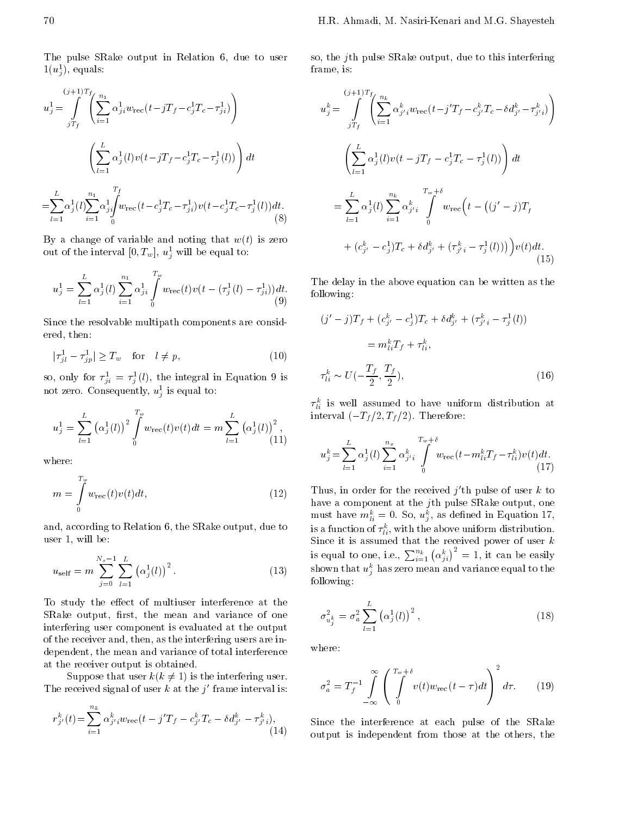The pulse SRake output in Relation 6, due to user  $1(u_j^2)$ , equals:

$$
u_j^1 = \int_{jT_f}^{(j+1)T_f} \left( \sum_{i=1}^{n_1} \alpha_{ji}^1 w_{\text{rec}}(t - jT_f - c_j^1 T_c - \tau_{ji}^1) \right)
$$
  

$$
\left( \sum_{l=1}^L \alpha_j^1(l) v(t - jT_f - c_j^1 T_c - \tau_j^1(l)) \right) dt
$$
  

$$
= \sum_{l=1}^L \alpha_j^1(l) \sum_{i=1}^{n_1} \alpha_{ji}^1 \int_{0}^{T_f} w_{\text{rec}}(t - c_j^1 T_c - \tau_{ji}^1) v(t - c_j^1 T_c - \tau_j^1(l)) dt.
$$
  
(8)

By a change of variable and noting that  $w(t)$  is zero out of the interval  $[0, I_w], u_{\tilde{j}}$  will be equal to:

$$
u_j^1 = \sum_{l=1}^L \alpha_j^1(l) \sum_{i=1}^{n_1} \alpha_{ji}^1 \int_0^{T_w} w_{\text{rec}}(t) v(t \quad (\tau_j^1(l) \quad \tau_{ji}^1)) dt. \quad \text{T}_{\text{f(c)}}^{T_w}
$$

Since the resolvable multipath components are considered, then:

$$
|\tau_{jl}^1 - \tau_{jp}^1| \ge T_w \quad \text{for} \quad l \ne p,\tag{10}
$$

so, only for  $\tau_{ji} = \tau_j(\iota)$ , the integral in Equation 9 is not zero. Consequently,  $u_j$  is equal to:

$$
u_j^1 = \sum_{l=1}^L \alpha_j^1(l) \big)^2 \int_0^{T_w} w_{\text{rec}}(t) v(t) dt = m \sum_{l=1}^L \alpha_j^1(l) \big)^2, \qquad \text{interval}
$$

where:

$$
m = \int_{0}^{T_w} w_{\text{rec}}(t)v(t)dt,
$$
\n(12)  $\frac{1}{h}$ 

and, according to Relation 6, the SRake output, due to user 1, will be:

$$
u_{\text{self}} = m \sum_{j=0}^{N_s} \sum_{l=1}^{L} \alpha_j^1(l) \Big)^2.
$$
 (13) s  
of

To study the effect of multiuser interference at the SRake output, first, the mean and variance of one interfering user component is evaluated at the output of the receiver and, then, as the interfering users are independent, the mean and variance of total interference at the receiver output is obtained.

The received signal of user k at the j' frame interval is:  $\sigma_a^2$ 

$$
r_{j'}^{k}(t) = \sum_{i=1}^{n_k} \alpha_{j'i}^{k} w_{\text{rec}}(t \quad j'T_f \quad c_{j'}^{k} T_c \quad \delta d_{j'}^{k} \quad \tau_{j'i}^{k}), \tag{14}
$$

so, the jth pulse SRake output, due to this interfering frame, is:

$$
u_j^k = \int_{jT_f}^{(j+1)T_f} \left( \sum_{i=1}^{n_k} \alpha_{j'i}^k w_{\text{rec}}(t - j'T_f - c_{j'}^k T_c - \delta d_{j'}^k - \tau_{j'i}^k) \right)
$$
  

$$
= \left( \sum_{l=1}^L \alpha_j^1(l) v(t - jT_f - c_j^1 T_c - \tau_j^1(l)) \right) dt
$$
  

$$
= \sum_{l=1}^L \alpha_j^1(l) \sum_{i=1}^{n_k} \alpha_{j'i}^k \int_0^{T_w + \delta} w_{\text{rec}}(t - (j' - j)T_f + (c_{j'}^k - c_j^1)T_c + \delta d_{j'}^k + (\tau_{j'i}^k - \tau_j^1(l))) \right) v(t) dt.
$$
  
(15)

The delay in the above equation can be written as the following:

$$
(j' \quad j)T_f + (c_{j'}^k \quad c_j^1)T_c + \delta d_{j'}^k + (\tau_{j'i}^k \quad \tau_j^1(l))
$$
  
=  $m_{li}^k T_f + \tau_{li}^k$ ,  
 $\tau_{li}^k \sim U(-\frac{T_f}{2}, \frac{T_f}{2}),$  (16)

 $\tau_{li}$  is well assumed to have uniform distribution at interval ( $T_f/2, T_f/2$ ). Therefore:

$$
u_j^k = \sum_{l=1}^L \alpha_j^1(l) \sum_{i=1}^{n_x} \alpha_{j'i}^k \int_0^{T_w + \delta} w_{\text{rec}}(t \quad m_{li}^k T_f \quad \tau_{li}^k) v(t) dt.
$$
\n(17)

Thus, in order for the received just pulse of user to the have a component at the jth pulse SRake output, one must have  $m_{li} = 0$ . So,  $u_j$ , as defined in Equation 17, is a function of  $\tau_{li}^*$ , with the above uniform distribution. Since it is assumed that the received power of user  $k$ is equal to one, i.e.,  $\sum_{i=1}^{n_k} \alpha_{ii}^k$  = 1, it can be easily  $\mathop{\rm snown}\nolimits$  that  $u_j$  has zero mean and variance equal to the following:

$$
\sigma_{u_j^k}^2 = \sigma_a^2 \sum_{l=1}^L \alpha_j^1(l) \big)^2, \tag{18}
$$

$$
\sigma_a^2 = T_f^{-1} \int_{-\infty}^{\infty} \left( \int_0^{T_w + \delta} v(t) w_{\text{rec}}(t - \tau) dt \right)^2 d\tau.
$$
 (19)

 $\sim$   $\sim$   $\sim$  output is independent from those at the others, the Since the interference at each pulse of the SRake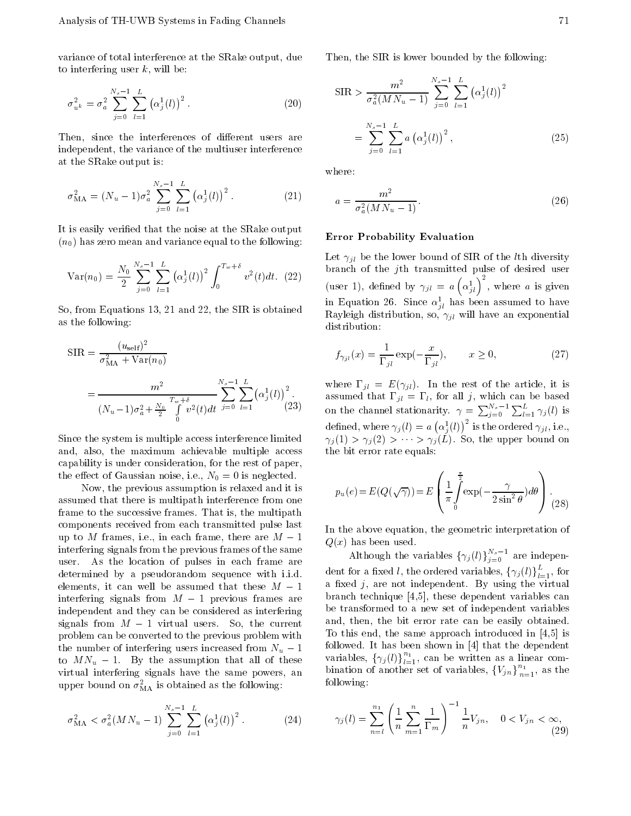variance of total interference at the SRake output, due to interfering user  $k$ , will be:

$$
\sigma_{u^k}^2 = \sigma_a^2 \sum_{j=0}^{N_s} \sum_{l=1}^L \alpha_j^1(l) \big)^2.
$$
 (20)

Then, since the interferences of different users are independent, the variance of the multiuser interference at the SRake output is:

$$
\sigma_{\text{MA}}^2 = (N_u \quad 1)\sigma_a^2 \sum_{j=0}^{N_s} \sum_{l=1}^L \alpha_j^1(l))^2.
$$
 (21)

It is easily veried that the noise at the SRake output  $(n_0)$  has zero mean and variance equal to the following:

$$
\text{Var}(n_0) = \frac{N_0}{2} \sum_{j=0}^{N_s} \sum_{l=1}^{L} \alpha_j^1(l) \gamma^2 \int_0^{T_w + \delta} v^2(t) dt. \tag{12}
$$

So, from Equations 13, 21 and 22, the SIR is obtained as the following:

$$
SIR = \frac{(u_{\text{self}})^2}{\sigma_{\text{MA}}^2 + \text{Var}(n_0)}
$$
  
= 
$$
\frac{m^2}{(N_u - 1)\sigma_a^2 + \frac{N_0}{2} \int_0^{T_w + \delta} \sum_{j=0}^{N_s} \sum_{l=1}^{1} \alpha_j^1(l))^2} (23)
$$

Since the system is multiple access interference limited and, also, the maximum achievable multiple access capability is under consideration, for the rest of paper, the effect of Gaussian noise, i.e.,  $N_0 = 0$  is neglected.

Now, the previous assumption is relaxed and it is  $\boldsymbol{\mu}$ assumed that there is multipath interference from one frame to the successive frames. That is, the multipath components received from each transmitted pulse last up to  $M$  frames, i.e., in each frame, there are  $M$  1 interfering signals from the previous frames of the same user. As the location of pulses in each frame are determined by <sup>a</sup> pseudorandom sequence with i.i.d. elements, it can well be assumed that these  $M$  $\mathbf{1}$ interfering signals from  $M$  1 previous frames are independent and they can be considered as interfering signals from  $M$  1 virtual users. So, the current problem can be converted to the previous problem with the number of interfering users increased from  $N_u$  1 to  $MN_u$  1. By the assumption that all of these virtual interfering signals have the same powers, an upper bound on  $\sigma_{\text{MA}}^-$  is obtained as the following:

$$
\sigma_{\text{MA}}^2 < \sigma_a^2 (MN_u - 1) \sum_{j=0}^{N_s} \sum_{l=1}^L \alpha_j^1(l) \big)^2 \,. \tag{24}
$$

Then, the SIR is lower bounded by the following:

$$
SIR > \frac{m^2}{\sigma_a^2 (MN_u - 1)} \sum_{j=0}^{N_s} \sum_{l=1}^{L} \alpha_j^1(l) \Big)^2
$$
  
= 
$$
\sum_{j=0}^{N_s} \sum_{l=1}^{L} a \alpha_j^1(l) \Big)^2,
$$
 (25)

where:

$$
a = \frac{m^2}{\sigma_a^2 (MN_u - 1)}.\tag{26}
$$

### Error Probability Evaluation

Let  $\gamma_{il}$  be the lower bound of SIR of the *l*th diversity branch of the jth transmitted pulse of desired user (user 1), defined by  $\gamma_{jl} = a \left( \alpha_{jl}^1 \right)^2$ , where a is given in Equation 20. Since  $\alpha_{jl}$  has been assumed to have Rayleigh distribution, so,  $\gamma_{jl}$  will have an exponential distribution:

$$
f_{\gamma_{jl}}(x) = \frac{1}{i^l} \exp(-\frac{x}{i^l}), \qquad x \ge 0,
$$
 (27)

where  $\mu$  is the article, it is the article, it is the article, it is the article, it is the article, it is the article, it is the article, it is the article, it is the article, it is the article, it is the article, it i (23) on the channel stationarity.  $\gamma = \sum_{i=0}^{N_s} \sum_{l=1}^{L} \gamma_j(l)$  is assumed that is a summer that is defined that  $j$  , which can be based on all  $j$ defined, where  $\gamma_j(l) = a_0 \alpha_j^1(l)$  is the ordered  $\gamma_{jl}$ , i.e.,  $j(x) \leq j(x)$   $\leq$   $j(x)$ . So, the upper bound on the bit error rate equals:

$$
p_u(e) = E(Q(\sqrt{\gamma})) = E\left(\frac{1}{\pi} \int_0^{\frac{\pi}{2}} \exp(-\frac{\gamma}{2\sin^2 \theta}) d\theta\right).
$$
 (28)

In the above equation, the geometric interpretation of  $Q(x)$  has been used.

Although the variables  $\{\gamma_j(t)\}_{j=0}^{\infty}$  are independent for a fixed l, the ordered variables,  $\{\gamma_j(l)\}_{l=1}^{\infty}$ , for a fixed  $j$ , are not independent. By using the virtual branch technique [4,5], these dependent variables can be transformed to a new set of independent variables and, then, the bit error rate can be easily obtained. To this end, the same approach introduced in [4,5] is followed. It has been shown in [4] that the dependent  $\mathbf{v}$  (i)  $\mathbf{v}$  (ii)  $\prod_{l=1}^{n}$ , can be written as a linear combination of another set of variables,  $\{V_{jn}\}_{n=1}^{n}$ , as the following:

$$
\gamma_j(l) = \sum_{n=l}^{n_1} \left( \frac{1}{n} \sum_{m=1}^n \frac{1}{m} \right)^{-1} \frac{1}{n} V_{jn}, \quad 0 < V_{jn} < \infty,
$$
\n(29)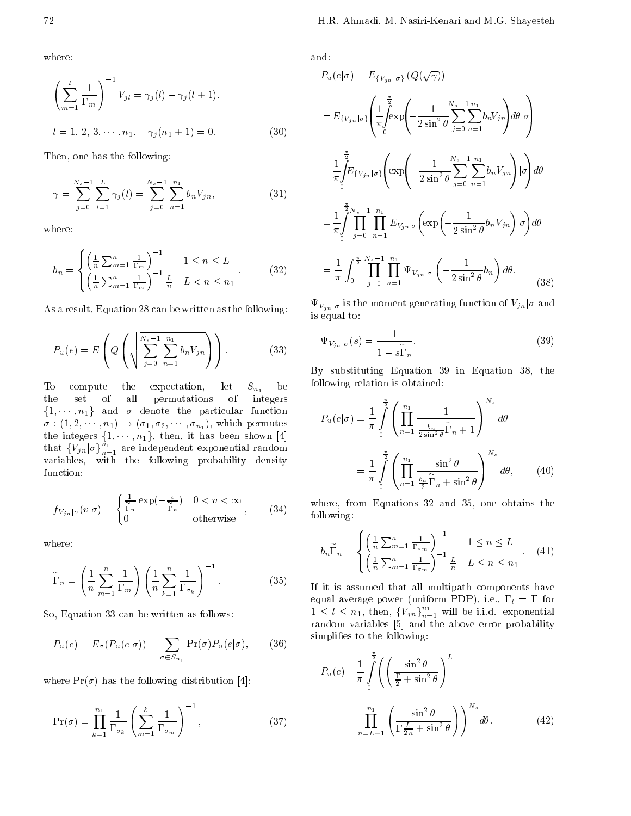where:

$$
\left(\sum_{m=1}^{l} \frac{1}{m}\right)^{-1} V_{jl} = \gamma_j(l) \quad \gamma_j(l+1),
$$
  
 
$$
l = 1, 2, 3, \cdots, n_1, \quad \gamma_j(n_1+1) = 0.
$$
 (30)

Then, one has the following:

$$
\gamma = \sum_{j=0}^{N_s} \sum_{l=1}^{L} \gamma_j(l) = \sum_{j=0}^{N_s} \sum_{n=1}^{N_1} b_n V_{jn}, \qquad (31)
$$

where:

$$
b_n = \begin{cases} \left(\frac{1}{n}\sum_{m=1}^n \frac{1}{m}\right)^{-1} & 1 \le n \le L\\ \left(\frac{1}{n}\sum_{m=1}^n \frac{1}{m}\right)^{-1} \frac{L}{n} & L < n \le n_1 \end{cases} (32)
$$

As a result, Equation 28 can be written as the following:

$$
P_u(e) = E\left(Q\left(\sqrt{\sum_{j=0}^{N_s} \sum_{n=1}^{n_1} b_n V_{jn}}\right)\right).
$$
 (33)

To compute the expectation, let  $S_{n_1}$  be the set of all permutations of integers  $\sigma : (1, 2, \dots, n_1) \rightarrow (\sigma_1, \sigma_2, \dots, \sigma_{n_1}),$  which permutes the integers  $\{1, \dots, n_1\}$ , then, it has been shown [4]  $\begin{bmatrix} 1 \\ n_1 \\ n_{n-1} \end{bmatrix}$  are independent exponential random variables, with the following probability density function:

$$
f_{V_{jn}|\sigma}(v|\sigma) = \begin{cases} \frac{1}{\sim} \exp(-\frac{v}{\sim}) & 0 < v < \infty \\ 0 & \text{otherwise} \end{cases}, \quad (34) \quad \text{W}_{\text{fct}} \quad (35)
$$

where:

$$
\begin{aligned}\n\tilde{\sigma}_n &= \left(\frac{1}{n}\sum_{m=1}^n \frac{1}{m}\right) \left(\frac{1}{n}\sum_{k=1}^n \frac{1}{\sigma_k}\right)^{-1}.\n\end{aligned} \tag{35}
$$

So, Equation 33 can be written as follows:

$$
P_u(e) = E_{\sigma}(P_u(e|\sigma)) = \sum_{\sigma \in S_{n_1}} \Pr(\sigma) P_u(e|\sigma), \quad (36)
$$

where  $Pr(\sigma)$  has the following distribution [4]:

$$
\Pr(\sigma) = \prod_{k=1}^{n_1} \frac{1}{\sigma_k} \left( \sum_{m=1}^k \frac{1}{\sigma_m} \right)^{-1}, \tag{37}
$$

and:

$$
P_{u}(e|\sigma) = E_{\{V_{jn}|\sigma\}} (Q(\sqrt{\gamma}))
$$
  
\n
$$
= E_{\{V_{jn}|\sigma\}} \left( \frac{1}{\pi} \int_{0}^{\frac{\pi}{2}} \exp\left( \frac{1}{2 \sin^{2} \theta} \sum_{j=0}^{N_{s}} \sum_{n=1}^{n_{1}} b_{n} V_{jn} \right) d\theta | \sigma \right)
$$
  
\n
$$
= \frac{1}{\pi} \int_{0}^{\frac{\pi}{2}} E_{\{V_{jn}|\sigma\}} \left( \exp\left( \frac{1}{2 \sin^{2} \theta} \sum_{j=0}^{N_{s}} \sum_{n=1}^{n_{1}} b_{n} V_{jn} \right) | \sigma \right) d\theta
$$
  
\n
$$
= \frac{1}{\pi} \int_{0}^{\frac{\pi}{2} N_{s}} \prod_{j=0}^{n_{1}} \prod_{n=1}^{n_{1}} E_{V_{jn}|\sigma} \left( \exp\left( \frac{1}{2 \sin^{2} \theta} b_{n} V_{jn} \right) | \sigma \right) d\theta
$$
  
\n
$$
= \frac{1}{\pi} \int_{0}^{\frac{\pi}{2}} \prod_{j=0}^{N_{s}} \prod_{n=1}^{n_{1}} \Psi_{V_{jn}|\sigma} \left( \frac{1}{2 \sin^{2} \theta} b_{n} \right) d\theta.
$$
 (38)

 $\Psi_{V_{jn}|\sigma}$  is the moment generating function of  $V_{jn}|\sigma$  and is equal to:

$$
\Psi_{V_{jn}|\sigma}(s) = \frac{1}{1 - s_n}.
$$
\n(39)

By substituting Equation 39 in Equation 38, the following relation is obtained:

$$
P_u(e|\sigma) = \frac{1}{\pi} \int_0^{\frac{\pi}{2}} \left( \prod_{n=1}^{n_1} \frac{1}{\frac{b_n}{2\sin^2 \theta} \alpha_n + 1} \right)^{N_s} d\theta
$$

$$
= \frac{1}{\pi} \int_0^{\frac{\pi}{2}} \left( \prod_{n=1}^{n_1} \frac{\sin^2 \theta}{\frac{b_n}{2} \alpha_n + \sin^2 \theta} \right)^{N_s} d\theta, \qquad (40)
$$

where, from Equations <sup>32</sup> and 35, one obtains the following:

$$
b_n \sim_n = \begin{cases} \left(\frac{1}{n}\sum_{m=1}^n \frac{1}{\sigma_m}\right)^{-1} & 1 \le n \le L\\ \left(\frac{1}{n}\sum_{m=1}^n \frac{1}{\sigma_m}\right)^{-1} \frac{L}{n} & L \le n \le n_1 \end{cases} (41)
$$

If it is assumed that all multipath components have equal average power (uniform PDP), i.e., l = form PDP  $1 \leq l \leq n_1$ , then,  $\{V_{jn}\}_{n=1}^{\infty}$  will be i.i.d. exponential random variables [5] and the above error probability simplifies to the following:

$$
P_u(e) = \frac{1}{\pi} \int_0^{\frac{\pi}{2}} \left( \left( \frac{\sin^2 \theta}{\frac{1}{2} + \sin^2 \theta} \right)^L \right)
$$

$$
\prod_{n=L+1}^{n_1} \left( \frac{\sin^2 \theta}{\frac{L}{2n} + \sin^2 \theta} \right) \right)^{N_s} d\theta.
$$
(42)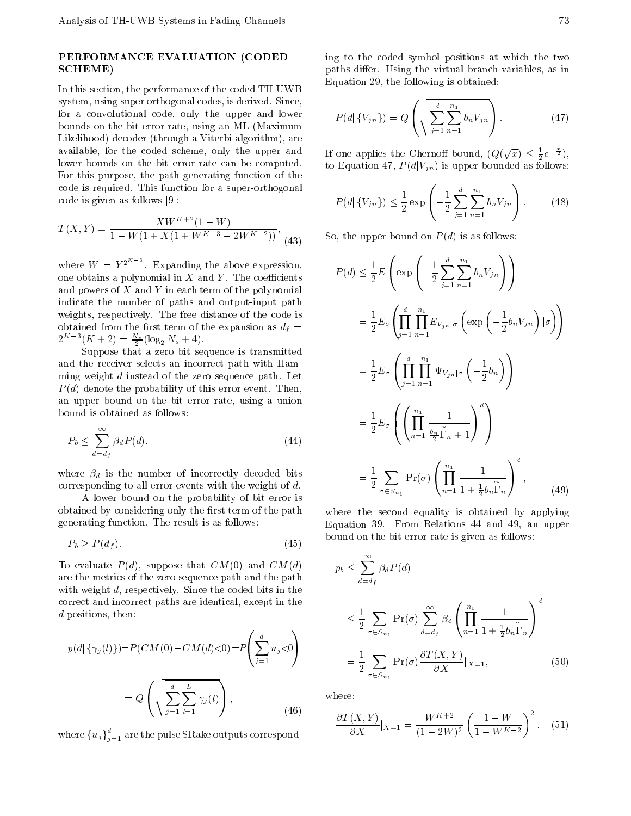# PERFORMANCE EVALUATION (CODED SCHEME)

In this section, the performance of the coded TH-UWB system, using super orthogonal codes, is derived. Since, for <sup>a</sup> convolutional code, only the upper and lower bounds on the bit error rate, using an ML (Maximum Likelihood) decoder (through a Viterbi algorithm), are available, for the coded scheme, only the upper and lower bounds on the bit error rate can be computed. For this purpose, the path generating function of the code is required. This function for a super-orthogonal code is given as follows [9]:

$$
T(X,Y) = \frac{XW^{K+2}(1-W)}{1-W(1+X(1+W^{K-3}-2W^{K-2}))},
$$
(43) S

where  $W = Y^{2^{n-1}}$ . Expanding the above expression, one obtains a polynomial in  $X$  and  $Y$ . The coefficients and powers of  $X$  and  $Y$  in each term of the polynomial indicate the number of paths and output-input path weights, respectively. The free distance of the code is obtained from the first term of the expansion as  $d_f =$  $2^{11}$   $\sigma(K + 2) = \frac{13}{2} (\log_2 N_s + 4).$ 

Suppose that <sup>a</sup> zero bit sequence is transmitted and the receiver selects an incorrect path with Hamming weight <sup>d</sup> instead of the zero sequence path. Let  $P(d)$  denote the probability of this error event. Then, an upper bound on the bit error rate, using <sup>a</sup> union bound is obtained as follows:

$$
P_b \le \sum_{d=d_f}^{\infty} \beta_d P(d),\tag{44}
$$

where  $\beta_d$  is the number of incorrectly decoded bits corresponding to all error events with the weight of d.

<sup>A</sup> lower bound on the probability of bit error is obtained by considering only the first term of the path generating function. The result is as follows:

$$
P_b \ge P(d_f). \tag{45}
$$

To evaluate  $P(d)$ , suppose that  $CM(0)$  and  $CM(d)$ are the metrics of the zero sequence path and the path with weight d, respectively. Since the coded bits in the correct and incorrect paths are identical, except in the  $d$  positions, then:

$$
p(d | \{\gamma_j(l)\}) = P(CM(0) \quad CM(d) < 0) = P\left(\sum_{j=1}^d u_j < 0\right) \\
= Q\left(\sqrt{\sum_{j=1}^d \sum_{l=1}^L \gamma_j(l)}\right), \quad \text{where:} \\
= Q\left(\sqrt{\sum_{j=1}^d \sum_{l=1}^L \gamma_j(l)}\right), \quad \text{where:} \\
= Q\left(\sqrt{\sum_{j=1}^d \sum_{l=1}^L \gamma_j(l)}\right), \quad \text{where:} \\
= \frac{1}{2} \sum_{j=1}^d \gamma_j(k) \quad \text{where:} \\
= \frac{1}{2} \sum_{l=1}^d \gamma_l(k) \quad \text{where:} \\
= \frac{1}{2} \sum_{l=1}^d \gamma_l(k) \quad \text{where:} \\
= \frac{1}{2} \sum_{l=1}^d \gamma_l(k) \quad \text{where:} \\
= \frac{1}{2} \sum_{l=1}^d \gamma_l(k) \quad \text{where:} \\
= \frac{1}{2} \sum_{l=1}^d \gamma_l(k) \quad \text{where:} \\
= \frac{1}{2} \sum_{l=1}^d \gamma_l(k) \quad \text{where:} \\
= \frac{1}{2} \sum_{l=1}^d \gamma_l(k) \quad \text{where:} \\
= \frac{1}{2} \sum_{l=1}^d \gamma_l(k) \quad \text{where:} \\
= \frac{1}{2} \sum_{l=1}^d \gamma_l(k) \quad \text{where:} \\
= \frac{1}{2} \sum_{l=1}^d \gamma_l(k) \quad \text{where:} \\
= \frac{1}{2} \sum_{l=1}^d \gamma_l(k) \quad \text{where:} \\
= \frac{1}{2} \sum_{l=1}^d \gamma_l(k) \quad \text{where:} \\
= \frac{1}{2} \sum_{l=1}^d \gamma_l(k) \quad \text{where:} \\
= \frac{1}{2} \sum_{l=1}^d \gamma_l(k) \quad \text{where:} \\
= \frac{1}{2} \sum_{l=1}^d \gamma_l(k) \quad \text{where:} \\
= \frac{1}{2} \sum_{l=1}^d \gamma_l(k) \quad \text{where:} \\
= \frac{1}{2} \sum_{l=1}^d \gamma_l(k) \quad \text{where:} \\
= \frac{1}{2} \sum_{l=1}^d \gamma_l(k) \quad \text
$$

where  $\{u_j\}_{j=1}^r$  are the pulse SRake outputs correspond-

ing to the coded symbol positions at which the two paths differ. Using the virtual branch variables, as in Equation 29, the following is obtained:

$$
P(d | \{V_{jn}\}) = Q\left(\sqrt{\sum_{j=1}^{d} \sum_{n=1}^{n_1} b_n V_{jn}}\right).
$$
 (47)  
one applies the Chernoff bound,  $(Q(\sqrt{x}) \le \frac{1}{2}e^{-\frac{x}{2}})$ ,  
Equation 47,  $P(d | V_{jn})$  is upper bounded as follows:

If one applies the Chernoff bound,  $(Q(\sqrt{x}) \leq \frac{1}{2}e^{-\frac{x}{2}})$ , to Equation 47,  $P(d|V_{jn})$  is upper bounded as follows:

$$
P(d | \{V_{jn}\}) \le \frac{1}{2} \exp\left(-\frac{1}{2} \sum_{j=1}^{d} \sum_{n=1}^{n_1} b_n V_{jn}\right).
$$
 (48)  
9, the upper bound on  $P(d)$  is as follows:  

$$
P(d) = \frac{1}{2} \int_{-\infty}^{0} \left(-\frac{1}{2} \sum_{j=1}^{d} \sum_{n=1}^{n_1} V_{nj} V_{nj}\right).
$$

 $S \rightarrow \infty$  . The upper bound on  $S \rightarrow \infty$  is as follows:

$$
P(d) \leq \frac{1}{2} E\left(\exp\left(-\frac{1}{2} \sum_{j=1}^{d} \sum_{n=1}^{n_1} b_n V_{jn}\right)\right)
$$
  
\n
$$
= \frac{1}{2} E_{\sigma} \left(\prod_{j=1}^{d} \prod_{n=1}^{n_1} E_{V_{jn}|\sigma} \left(\exp\left(-\frac{1}{2} b_n V_{jn}\right) | \sigma\right)\right)
$$
  
\n
$$
= \frac{1}{2} E_{\sigma} \left(\prod_{j=1}^{d} \prod_{n=1}^{n_1} \Psi_{V_{jn}|\sigma} \left(-\frac{1}{2} b_n\right)\right)
$$
  
\n
$$
= \frac{1}{2} E_{\sigma} \left(\left(\prod_{n=1}^{n_1} \frac{1}{\frac{b_n}{2} \gamma_{n}+1}\right)^{d}\right)
$$
  
\n
$$
= \frac{1}{2} \sum_{\sigma \in S_{n_1}} \Pr(\sigma) \left(\prod_{n=1}^{n_1} \frac{1}{1+\frac{1}{2} b_n \gamma_{n}}\right)^{d}, \qquad (49)
$$

where the second equality is obtained by applying Equation 39. From Relations <sup>44</sup> and 49, an upper bound on the bit error rate is given as follows:

$$
CM(d)
$$
  
\nwe path  
\ns in the  
\n
$$
\leq \sum_{d=d_f}^{\infty} \beta_d P(d)
$$
  
\ns in the  
\n
$$
\leq \frac{1}{2} \sum_{\sigma \in S_{n_1}} \Pr(\sigma) \sum_{d=d_f}^{\infty} \beta_d \left( \prod_{n=1}^{n_1} \frac{1}{1 + \frac{1}{2} b_n \alpha_n} \right)^d
$$
  
\n
$$
= \frac{1}{2} \sum_{\sigma \in S_{n_1}} \Pr(\sigma) \frac{\partial T(X, Y)}{\partial X} |_{X=1},
$$
\n(50)

where:

$$
\frac{\partial T(X,Y)}{\partial X}|_{X=1} = \frac{W^{K+2}}{(1-2W)^2} \left(\frac{1}{1-W^{K-2}}\right)^2, \quad (51)
$$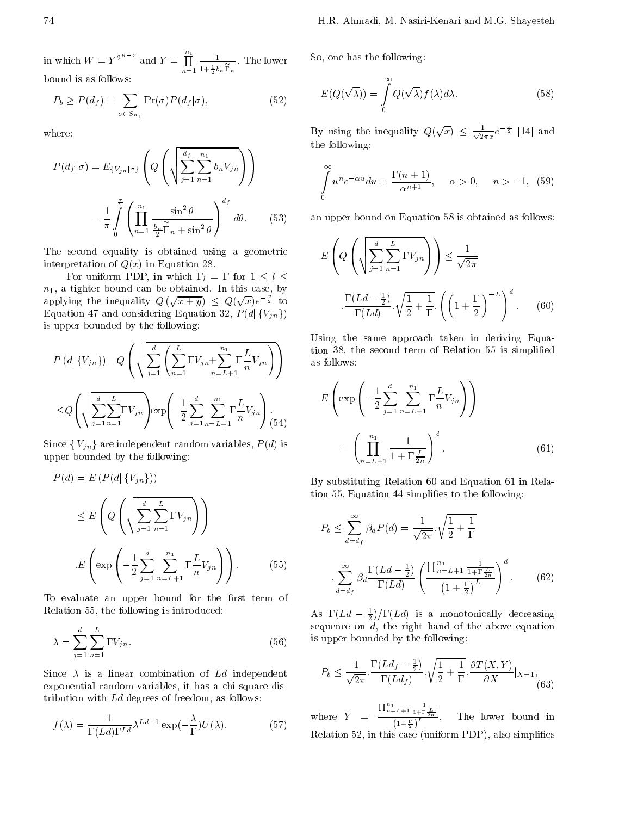in which  $W = Y^{2^K}$  and  $Y = \overrightarrow{\prod}$ n=1 1980 - 1980 - 1980 - 1980 - 1980 - 1980 - 1980 - 1980 - 1980 - 1980 - 1980 - 1980 - 1980 - 1980 - 1980 - 1980  $1 + \frac{1}{2} b_n$  n bound is as follows:

$$
P_b \ge P(d_f) = \sum_{\sigma \in S_{n_1}} \Pr(\sigma) P(d_f | \sigma), \tag{52}
$$

where:

$$
P(d_f|\sigma) = E_{\{V_{jn}|\sigma\}} \left( Q\left( \sqrt{\sum_{j=1}^{d_f} \sum_{n=1}^{n_1} b_n V_{jn}} \right) \right)
$$

$$
= \frac{1}{\pi} \int_{0}^{\frac{\pi}{2}} \left( \prod_{n=1}^{n_1} \frac{\sin^2 \theta}{\frac{b_n}{2} \alpha_n + \sin^2 \theta} \right)^{d_f} d\theta. \qquad (53) \qquad \text{an}
$$

The second equality is obtained using <sup>a</sup> geometric interpretation of  $Q(x)$  in Equation 28.

For uniform PDP, in which like  $\mathbf{u} = \mathbf{u} - \mathbf{u}$  $n_1$ , a tighter bound can be obtained. In this case, by applying the inequality  $Q(\sqrt{x+y}) \leq Q(\sqrt{x})e^{-\frac{x}{2}}$  to is upper bounded by the following:

is upper bounded by the following:  
\n
$$
P(d | \{V_{jn}\}) = Q\left(\sqrt{\sum_{j=1}^{d} \left(\sum_{n=1}^{L} V_{jn} + \sum_{n=L+1}^{n_1} \frac{L}{n} V_{jn}\right)}\right)
$$
\nUsing  
\n
$$
\leq Q\left(\sqrt{\sum_{j=1}^{d} \sum_{n=1}^{L} V_{jn}}\right) \exp\left(\frac{1}{2} \sum_{j=1}^{d} \sum_{n=L+1}^{n_1} \frac{L}{n} V_{jn}\right).
$$
\n
$$
E\left(\sqrt{\sum_{j=1}^{d} \sum_{n=1}^{L} V_{jn}}\right) \exp\left(\frac{1}{2} \sum_{j=1}^{d} \sum_{n=L+1}^{n_1} \frac{L}{n} V_{jn}\right).
$$

 $\frac{1}{2}$  are independent random variables,  $\frac{1}{2}$  is  $\frac{1}{2}$  independent random variables,  $\frac{1}{2}$  is  $\frac{1}{2}$ upper bounded by the following:

$$
P(d) = E(P(d | \{V_{jn}\}))
$$
  
\n
$$
\leq E\left(Q\left(\sqrt{\sum_{j=1}^{d} \sum_{n=1}^{L} V_{jn}}\right)\right)
$$
  
\n
$$
E\left(\exp\left(-\frac{1}{2} \sum_{j=1}^{d} \sum_{n=L+1}^{n_1} \frac{L}{n} V_{jn}\right)\right).
$$
 (55)

To evaluate an upper bound for the first term of Relation 55, the following is introduced:

$$
\lambda = \sum_{j=1}^{d} \sum_{n=1}^{L} V_{jn}.
$$
\n(56) is

Since  $\lambda$  is a linear combination of Ld independent exponential random variables, it has a chi-square distribution with Ld degrees of freedom, as follows:

$$
f(\lambda) = \frac{1}{(Ld)^{-Ld}} \lambda^{Ld-1} \exp(-\frac{\lambda}{2}) U(\lambda).
$$
 (57)

So, one has the following:

$$
E(Q(\sqrt{\lambda})) = \int_{0}^{\infty} Q(\sqrt{\lambda}) f(\lambda) d\lambda.
$$
 (58)

1 the following: By using the inequality  $Q(\sqrt{x}) \leq \frac{1}{\sqrt{2\pi x}}e^{-\frac{x}{2}}$  [14] and

$$
\int_{0}^{\infty} u^{n} e^{-\alpha u} du = \frac{(n+1)}{\alpha^{n+1}}, \quad \alpha > 0, \quad n > 1, (59)
$$

an upper bound on Equation 58 is obtained as follows:

$$
E\left(Q\left(\sqrt{\sum_{j=1}^{d}\sum_{n=1}^{L}V_{jn}}\right)\right) \leq \frac{1}{\sqrt{2\pi}}
$$

$$
\cdot \frac{(Ld - \frac{1}{2})}{(Ld)} \cdot \sqrt{\frac{1}{2} + \frac{1}{2}} \cdot \left(\left(1 + \frac{1}{2}\right)^{L}\right)^{d}.
$$
 (60)

 $V_{in}$   $\left.\begin{matrix} \end{matrix}\right\}$   $\qquad \begin{matrix} \text{tion} & 38, \\ \text{as follows} & \end{matrix}$ as follows: Using the same approach taken in deriving Equation 38, the second term of  $\Gamma$  simplified term of Relation 55 is simplified term of Relation 55 is simplified that

$$
E\left(\exp\left(-\frac{1}{2}\sum_{j=1}^{d}\sum_{n=L+1}^{n_1}\frac{L}{n}V_{jn}\right)\right)
$$

$$
=\left(\prod_{n=L+1}^{n_1}\frac{1}{1+\frac{L}{2n}}\right)^d.
$$
(61)

By substituting Relation 60 and Equation 61 in Relation 55, Equation 44 simplies to the following:

$$
P_b \le \sum_{d=d_f}^{\infty} \beta_d P(d) = \frac{1}{\sqrt{2\pi}} \sqrt{\frac{1}{2} + \frac{1}{2}}
$$

$$
\sum_{d=d_f}^{\infty} \beta_d \frac{(Ld - \frac{1}{2})}{(Ld)} \left( \frac{\prod_{n=L+1}^{n_1} \frac{1}{1 + \frac{L}{2n}}}{1 + \frac{L}{2}} \right)^d.
$$
(62)

As  $(La \div t)$  ( $La$ ) is a monotonically decreasing sequence on d, the right hand of the above equation is upper bounded by the following:

$$
P_b \le \frac{1}{\sqrt{2\pi}} \cdot \frac{(Ld_f - \frac{1}{2})}{(Ld_f)} \cdot \sqrt{\frac{1}{2} + \frac{1}{2}} \cdot \frac{\partial T(X, Y)}{\partial X}|_{X=1},\tag{63}
$$

where  $\mathcal{Y} = \mathcal{Y} = \mathcal{Y}$  and  $\mathcal{Y} = \mathcal{Y}$  and  $\mathcal{Y} = \mathcal{Y}$  and  $\mathcal{Y} = \mathcal{Y}$  $\frac{\prod_{n=L+1}^{n_1} \frac{1}{1+\frac{L}{2n}}}{\prod_{n=1}^{L}}$  $\left(1+\frac{1}{2}\right)^{\frac{L}{2}}$ Relation 52, in this case (uniform PDP), also simplies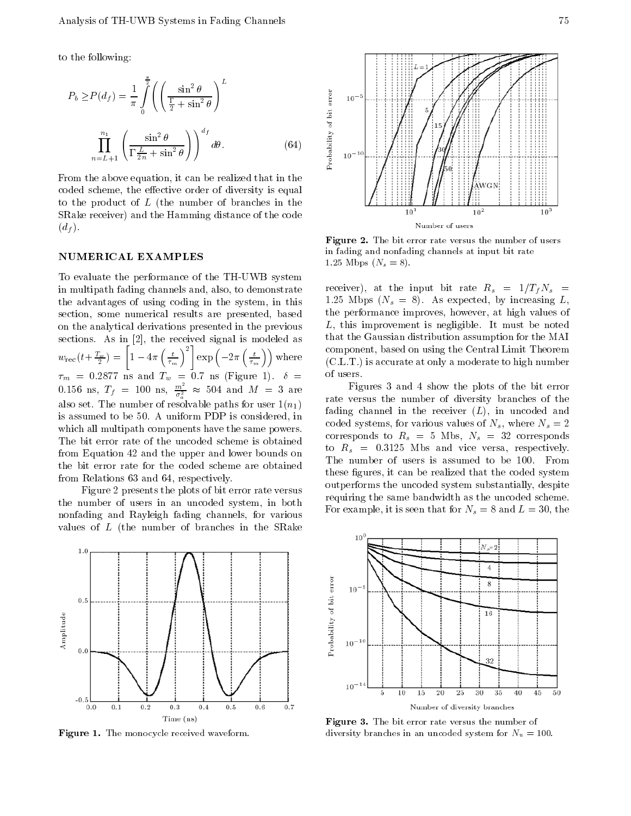to the following:

$$
P_b \ge P(d_f) = \frac{1}{\pi} \int_0^{\frac{\pi}{2}} \left( \left( \frac{\sin^2 \theta}{\frac{1}{2} + \sin^2 \theta} \right)^L \right)
$$
  

$$
\prod_{n=L+1}^{n_1} \left( \frac{\sin^2 \theta}{\frac{L}{2n} + \sin^2 \theta} \right) \right)^{d_f} d\theta.
$$
 (64)

From the above equation, it can be realized that in the coded scheme, the effective order of diversity is equal to the product of <sup>L</sup> (the number of branches in the SRake receiver) and the Hamming distance of the code  $(d_f)$ .

## NUMERICAL EXAMPLES

To evaluate the performance of the TH-UWB system in multipath fading channels and, also, to demonstrate the advantages of using coding in the system, in this section, some numerical results are presented, based on the analytical derivations presented in the previous sections. As in [2], the received signal is modeled as  $\sim$  $w_{\text{rec}}(t+\frac{2\pi}{2}) = \begin{vmatrix} 1 & 4\pi \\ \frac{7\pi}{2} & \end{vmatrix}$  $\left[1 \quad 4\pi \left(\frac{t}{\tau_m}\right)^2\right] \exp\left(-\frac{t}{\tau_m}\right)$  $\left[\begin{array}{c} 2 \ \end{array}\right]$  exp  $\left(\begin{array}{c} 2 \pi \left(\frac{t}{\tau_m}\right) \end{array}\right)$  where where the contract of the contract of the contract of the contract of the contract of the contract of the contract of the contract of the contract of the contract of the contract of the contract of the contract of the cont 0.156 ns,  $T_f = 100 \text{ ns}, \frac{m^2}{\sigma_a^2} \approx 504 \text{ and } M = 3 \text{ are}$ also set. The number of resolvable paths for user  $1(n_1)$ is assumed to be 50. A uniform PDP is considered, in which all multipath components have the same powers. The bit error rate of the uncoded scheme is obtained from Equation 42 and the upper and lower bounds on the bit error rate for the coded scheme are obtained from Relations 63 and 64, respectively.

Figure 2 presents the plots of bit error rate versus the number of users in an uncoded system, in both nonfading and Rayleigh fading channels, for various values of <sup>L</sup> (the number of branches in the SRake



Figure 1. The monocycle received waveform.



Figure 2. The bit error rate versus the number of users in fading and nonfading channels at input bit rate 1.25 Mbps  $(N_s = 8)$ .

receiver), at the input bit rate  $R_s = 1/T_fN_s =$ 1.25 Mbps  $(N_s = 8)$ . As expected, by increasing L, the performance improves, however, at high values of L, this improvement is negligible. It must be noted that the Gaussian distribution assumption for the MAI component, based on using the Central Limit Theorem (C.L.T.) is accurate at only a moderate to high number of users.

Figures <sup>3</sup> and <sup>4</sup> show the plots of the bit error rate versus the number of diversity branches of the fading channel in the receiver  $(L)$ , in uncoded and coded systems, for various values of  $N_s$ , where  $N_s = 2$ corresponds to  $R_s = 5$  Mbs,  $N_s = 32$  corresponds to  $R_s = 0.3125$  Mbs and vice versa, respectively. The number of users is assumed to be 100. From these figures, it can be realized that the coded system outperforms the uncoded system substantially, despite requiring the same bandwidth as the uncoded scheme. For example, it is seen that for  $N_s = 8$  and  $L = 30$ , the



Figure 3. The bit error rate versus the number of diversity branches in an uncoded system for  $N_u = 100$ .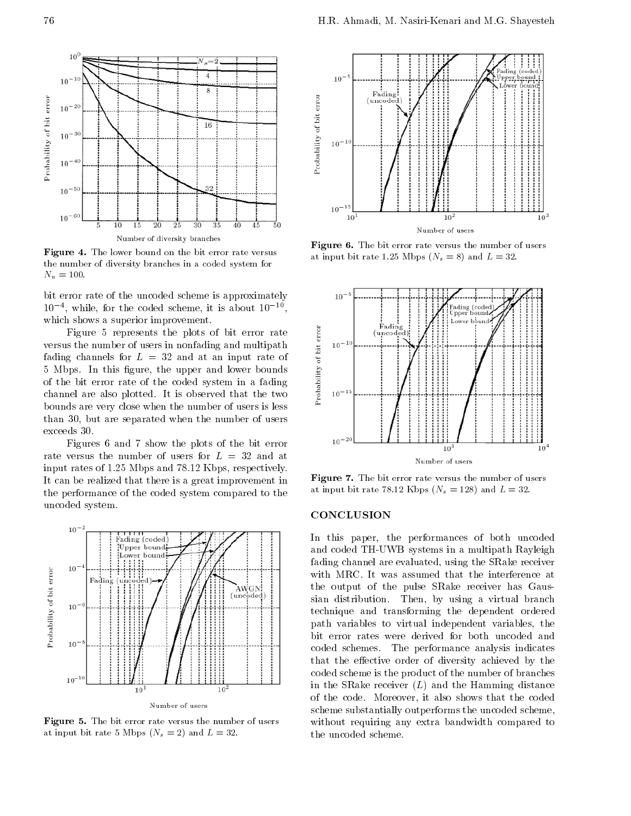

Figure 4. The lower bound on the bit error rate versus the number of diversity branches in a coded system for  $N_u = 100.$ 

bit error rate of the uncoded scheme is approximately <sup>10</sup> <sup>4</sup> , while, for the coded scheme, it is about <sup>10</sup> <sup>10</sup> which shows a superior improvement.

Figure 5 represents the plots of bit error rate<br>is the number of users in nonfading and multipath<br>g channels for  $L = 32$  and at an input rate of<br>pps. In this figure, the upper and lower bounds<br>e bit error rate of the code versus the number of users in nonfading and multipath fading channels for  $L = 32$  and at an input rate of 5 Mbps. In this figure, the upper and lower bounds of the bit error rate of the coded system in <sup>a</sup> fading channel are also plotted. It is observed that the two bounds are very close when the number of users is less than 30, but are separated when the number of users exceeds 30.

Figures <sup>6</sup> and <sup>7</sup> show the plots of the bit error rate versus the number of users for  $L = 32$  and at input rates of 1.25 Mbps and 78.12 Kbps, respectively. It can be realized that there is a great improvement in the performance of the coded system compared to the uncoded system.



Figure 5. The bit error rate versus the number of users at input bit rate 5 Mbps  $(N_s = 2)$  and  $L = 32$ .



Figure 6. The bit error rate versus the number of users at input bit rate 1.25 Mbps  $(N_s = 8)$  and  $L = 32$ .



Figure 7. The bit error rate versus the number of users at input bit rate 78.12 Kbps  $(N_s = 128)$  and  $L = 32$ .

# **CONCLUSION**

In this paper, the performances of both uncoded and coded TH-UWB systems in a multipath Rayleigh fading channel are evaluated, using the SRake receiver with MRC. It was assumed that the interference at the output of the pulse SRake receiver has Gaussian distribution. Then, by using <sup>a</sup> virtual branch technique and transforming the dependent ordered path variables to virtual independent variables, the bit error rates were derived for both uncoded and coded schemes. The performance analysis indicates that the effective order of diversity achieved by the coded scheme is the product of the number of branches in the SRake receiver  $(L)$  and the Hamming distance of the code. Moreover, it also shows that the coded scheme substantially outperforms the uncoded scheme, without requiring any extra bandwidth compared to the uncoded scheme.